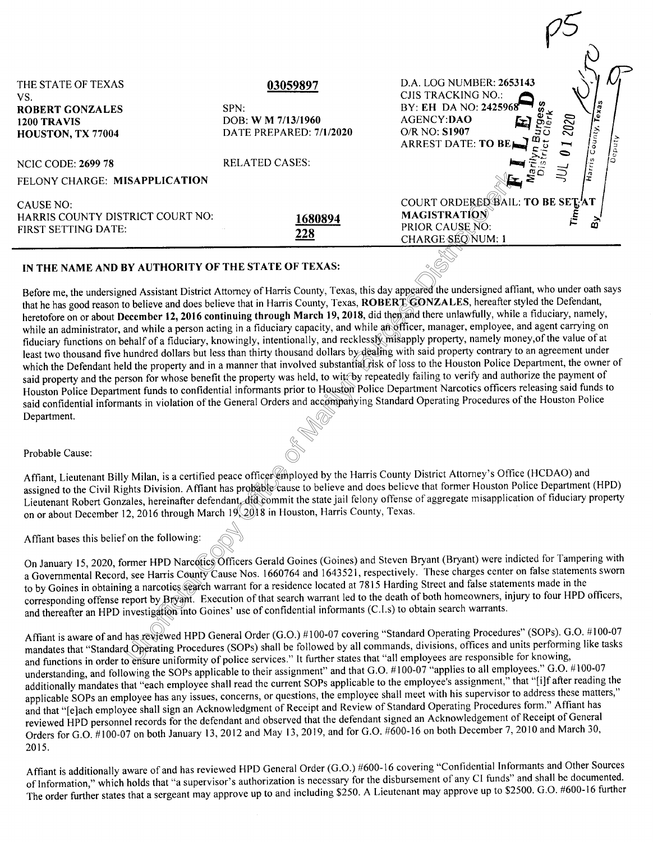| THE STATE OF TEXAS<br>VS.<br><b>ROBERT GONZALES</b><br>1200 TRAVIS<br>HOUSTON, TX 77004 | 03059897<br>SPN:<br>DOB: W M 7/13/1960<br>DATE PREPARED: 7/1/2020 | D.A. LOG NUMBER: 2653143<br>CJIS TRACKING NO.:<br>BY: EH DA NO: 2425968<br>$\sqrt{a}$<br>2020<br>AGENCY:DAO<br>County,<br>O/R NO: S1907<br><b>ARREST DATE: TO BE</b> |
|-----------------------------------------------------------------------------------------|-------------------------------------------------------------------|----------------------------------------------------------------------------------------------------------------------------------------------------------------------|
| <b>NCIC CODE: 2699 78</b><br>FELONY CHARGE: MISAPPLICATION                              | <b>RELATED CASES:</b>                                             | $\int_{\partial \Omega} \frac{dy}{dx}$<br>⇨                                                                                                                          |
| CAUSE NO:<br>HARRIS COUNTY DISTRICT COURT NO:<br><b>FIRST SETTING DATE:</b>             | 1680894<br>228                                                    | COURT ORDEREN BAIL: TO BE SET AT<br><b>MAGISTRATION</b><br>ຜົ<br>PRIOR CAUSE NO:<br>CHARGE SEONUM: 1                                                                 |
| IN THE NAME AND BY AUTHORITY OF THE STATE OF TEXAS:                                     |                                                                   | Before me, the undersigned Assistant District Attorney of Harris County, Texas, this day appeared the undersigned affiant, who under oath says                       |

## IN THE NAME AND BY AUTHORITY OF THE STATE OF TEXAS:

held, to witt-by the local position of the Housdan Production of the Maria School of the Maria School of the Maria School of the Maria School of the Maria School of the Maria School of the Maria School of the Maria School s, and any approximate the set of the set of the set of the set of the set of the set of the set of the set of the set of the set of the set of the set of the set of the set of the set of the set of the set of the set of t that he has good reason to believe and does believe that in Harris County, Texas, **ROBERT GONZALES,** hereafter styled the Defendant, heretofore on or about December 12, 2016 continuing through March 19, 2018, did then and there unlawfully, while a fiduciary, namely, while an administrator, and while a person acting in a fiduciary capacity, and while an officer, manager, employee, and agent carrying on fiduciary functions on behalf of a fiduciary, knowingly, intentionally, and recklessly misapply property, namely money,ofthe value of at least two thousand five hundred dollars but less than thirty thousand dollars by dealing with said property contrary to an agreement under which the Defendant held the property and in a manner that involved substantial risk of loss to the Houston Police Department, the owner of said property and the person for whose benefit the property was held, to wit $\llbracket$ by repeatedly failing to verify and authorize the payment of Houston Police Department funds to confidential informants prior to Houston Police Department Narcotics officers releasing said funds to said confidential informants in violation of the General Orders and accompanying Standard Operating Procedures of the Houston Police Department.

Probable Cause:

Affiant, Lieutenant Billy Milan, is a certified peace officer employed by the Harris County District Attorney's Office (HCDAO) and assigned to the Civil Rights Division. Affiant has probable cause to believe and does belie assigned to the Civil Rights Division. Affiant has probable cause to believe and does believe that former Houston Police Department (HPD) Lieutenant Robert Gonzales, hereinafter defendant, did commit the state jail felony offense of aggregate misapplication of fiduciary property on or about December 12, 2016 through March 19, 2018 in Houston, Harris County, Texas.

of-

Affiant bases this belief on the following:

a Governmental Record, see Harris County Cause Nos. 1600/64 and 1645321, respectively. These charges echief of hase statements to by Goines in obtaining a narcotics search warrant for a residence located at 7815 Harding St Affiant bases this belief on the following:<br>On January 15, 2020, former HPD Narcotics Officers Gerald Goines (Goines) and Steven Bryant (Bryant) were indicted for Tampering with<br>Covernmental Record, see Harris County Cause a Governmental Record, see Harris County Cause Nos. 1660764 and 1643521, respectively. These charges center on false statements sworn corresponding offense report by Bryant. Execution of that search warrant led to the death of both homeowners, injury to four HPD officers, and thereafter an HPD investigation into Goines' use of confidential informants (C.I.s) to obtain search warrants.

Affiant is aware of and has reviewed HPD General Order (G.O.) #100-07 covering "Standard Operating Procedures" (SOPs). G.O. #100-07 mandates that "Standard Operating Procedures (SOPs) shall be followed by all commands, divisions, offices and units performing like tasks and functions in order to ensure uniformity of police services." It further states that "all employees are responsible for knowing, understanding, and following the SOPs applicable to their assignment" and that G.O. #100-07 "applies to all employees." G.O. #100-07 additionally mandates that "each employee shall read the current SOPs applicable to the employee's assignment," that "[i]f after reading the applicable SOPs an employee has any issues, concerns, or questions, the employee shall meet with his supervisor to address these matters," and that "[e]ach employee shall sign an Acknowledgment of Receipt and Review of Standard Operating Procedures form." Affiant has reviewed HPD personnel records for the defendant and observed that the defendant signed an Acknowledgement of Receipt of General Orders for G.O. #100-07 on both January 13, 2012 and May 13, 2019, and for G.O. #600-16 on both December 7, 2010 and March 30, 2015.

Affiant is additionally aware of and has reviewed HPD General Order (G.O.) #600-16 covering "Confidential Informants and Other Sources of Information," which holds that "a supervisor's authorization is necessary for the disbursement of any CI funds" and shall be documented. The order further states that a sergeant may approve up to and including \$250. A Lieutenant may approve up to \$2500. G.O. #600-16 further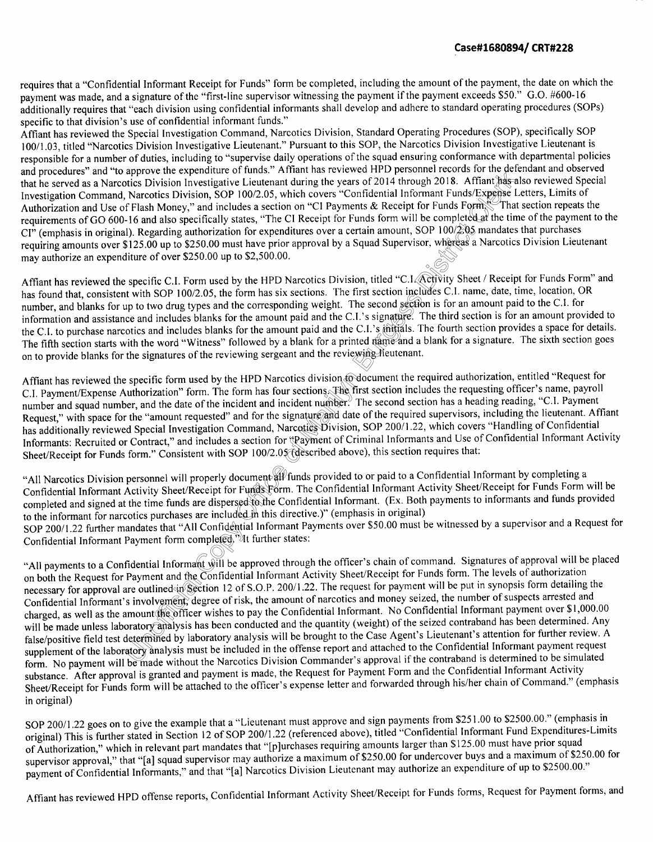## **Case#1680894/ CRT#228**

requires that a "Confidential Informant Receipt for Funds" form be completed, including the amount of the payment, the date on which the payment was made, and a signature of the "first-line supervisor witnessing the payment if the payment exceeds \$50." G.O. #600-16 additionally requires that "each division using confidential informants shall develop and adhere to standard operating procedures (SOPs) specific to that division's use of confidential informant funds."

Equirements of OO 000-10 and also specificarly states, The Critical prior cannot sover a certain amount, SOP 100/2:05 mandates that purchases<br>requiring amounts over \$125.00 up to \$250.00 must have prior approval by a Squad s for the determent<br>Affiant has als<br>Sexpense Leorm<br>Corm<br>ted at the time Affiant has reviewed the Special Investigation Command, Narcotics Division, Standard Operating Procedures (SOP), specifically SOP I 00/1.03, titled "Narcotics Division Investigative Lieutenant." Pursuant to this SOP, the Narcotics Division Investigative Lieutenant is responsible for a number of duties, including to "supervise daily operations of the squad ensuring conformance with departmental policies and procedures" and "to approve the expenditure of funds." Affiant has reviewed HPD personnel records for the defendant and observed that he served as a Narcotics Division Investigative Lieutenant during the years of 2014 through 2018. Affiant has also reviewed Special Investigation Command, Narcotics Division, SOP I 00/2.05, which covers "Confidential Informant Funds/Expense Letters, Limits of Authorization and Use of Flash Money," and includes a section on "CI Payments & Receipt for Funds Form. That section repeats the requirements of GO 600-16 and also specifically states, "The CI Receipt for Funds form will be completed at the time of the payment to the CI" (emphasis in original). Regarding authorization for expenditures over a certain amount, SOP I 00/2.05 mandates that purchases requiring amounts over \$125.00 up to \$250.00 must have prior approval by a Squad Supervisor, whereas a Narcotics Division Lieutenant may authorize an expenditure of over \$250.00 up to \$2,500.00.

The second section<br>The second section<br>I.'s signature. The C.I.'s initials. The<br>ted name and a beginning the section has found that, consistent with SOP 100/2.05, the form has six sections. The first section includes C.I. name, date, time, location, OR number, and blanks for up to two drug types and the corresponding weight. The second section is for an amount paid to the C.I. for information and assistance and includes blanks for the amount paid and the C.I.'s signature. The third section is for an amount provided to the C.I. to purchase narcotics and includes blanks for the amount paid and the C.I.'s initials. The fourth section provides a space for details. The fifth section starts with the word "Witness" followed by a blank for a printed name and a blank for a signature. The sixth section goes on to provide blanks for the signatures of the reviewing sergeant and the reviewing lieutenant.

Informants: Recruited or Contract," and includes a section for "Payment of Criminal Informants and Use of<br>Sheet/Receipt for Funds form." Consistent with SOP 100/2.05 (described above), this section requires that: cs division to do<br>ections. The firs<br>lent number. The<br>nature and date contics Division, S<br>cavenent of Crim Affiant has reviewed the specific form used by the HPD Narcotics division to document the required authorization, entitled "Request for C.I. Payment/Expense Authorization" form. The form has four sections. The first section includes the requesting officer's name, payroll number and squad number, and the date of the incident and incident number. The second section has a heading reading, "C.I. Payment Request," with space for the "amount requested" and for the signature and date of the required supervisors, including the lieutenant. Affiant has additionally reviewed Special Investigation Command, Narcotics Division, SOP 200/1.22, which covers "Handling of Confidential" Informants: Recruited or Contract," and includes a section for "Payment of Criminal Informants and Use of Confidential Informant Activity

SOP 200/1.22 further mandates that "All Confidential Informant Payments over \$50.00 must be witnessed by a supervisor and a Request for<br>Confidential Informant Payment form completed," It further states:<br>"All payments to a ocument all fi<br>Funds Form.<br>sed to the Cor<br>ded in this dire "All Narcotics Division personnel will properly document all funds provided to or paid to a Confidential Informant by completing a Confidential Informant Activity Sheet/Receipt for Funds Form. The Confidential Informant Activity Sheet/Receipt for Funds Form will be completed and signed at the time funds are dispersed to the Confidential Informant. (Ex. Both payments to informants and funds provided to the informant for narcotics purchases are included in this directive.)" (emphasis in original) SOP 200/1.22 further mandates that "All Confidential Informant Payments over \$50.00 must be witnessed by a supervisor and a Request for Confidential Informant Payment form completed.">It further states:

on both the Request for Payment and the Confidential Informant Activity Sneet/Recept for Funds form. The levels of admonzation<br>necessary for approval are outlined in Section 12 of S.O.P. 200/1.22. The request for payment w on both the Request for Payment and the Confidential Informant Activity Sheet/Receipt for Funds form. The levels of authorization Confidential Informant's involvement, degree of risk, the amount of narcotics and money seized, the number of suspects arrested and charged, as well as the amount the officer wishes to pay the Confidential Informant. No Confidential Informant payment over \$1,000.00 will be made unless laboratory analysis has been conducted and the quantity (weight) of the seized contraband has been determined. Any false/positive field test determined by laboratory analysis will be brought to the Case Agent's Lieutenant's attention for further review. A supplement of the laboratory analysis must be included in the offense report and attached to the Confidential Informant payment request form. No payment will be made without the Narcotics Division Commander's approval if the contraband is determined to be simulated substance. After approval is granted and payment is made, the Request for Payment Form and the Confidential Informant Activity Sheet/Receipt for Funds form will be attached to the officer's expense letter and forwarded through his/her chain of Command." (emphasis in original)

SOP 200/1.22 goes on to give the example that a "Lieutenant must approve and sign payments from \$251.00 to \$2500.00." (emphasis in original) This is further stated in Section 12 of SOP 200/1.22 (referenced above), titled "Confidential Informant Fund Expenditures-Limits of Authorization," which in relevant part mandates that "[p]urchases requiring amounts larger than \$125.00 must have prior squad supervisor approval," that "[a] squad supervisor may authorize a maximum of \$250.00 for undercover buys and a maximum of \$250.00 for payment of Confidential Informants," and that "[a] Narcotics Division Lieutenant may authorize an expenditure of up to \$2500.00."

Affiant has reviewed HPD offense reports, Confidential Informant Activity Sheet/Receipt for Funds forms, Request for Payment forms, and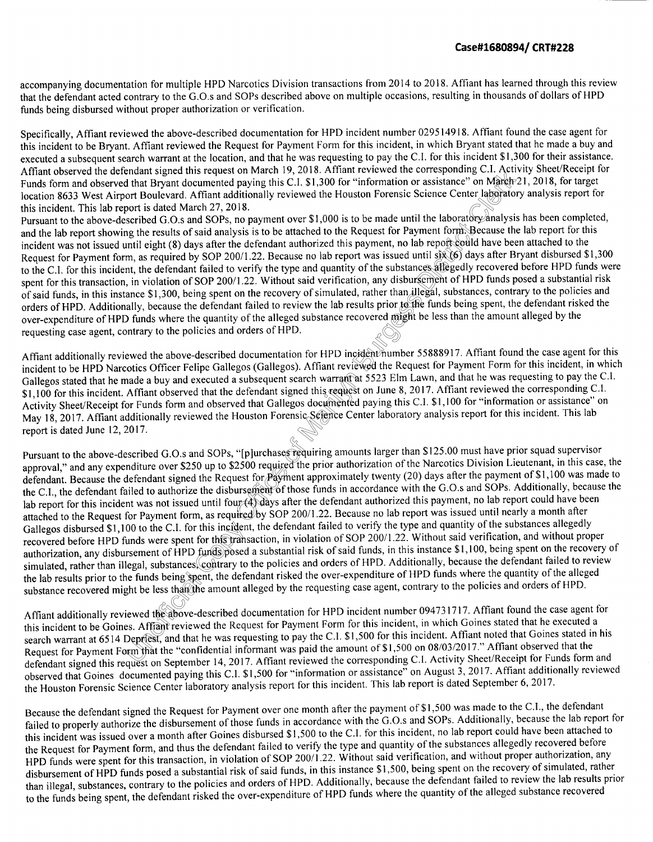accompanying documentation for multiple HPD Narcotics Division transactions from 2014 to 2018. Affiant has learned through this review that the defendant acted contrary to the G.O.s and SOPs described above on multiple occasions, resulting in thousands of dollars of HPD funds being disbursed without proper authorization or verification.

Affiant observed the detendant signed this request on March 19, 2018. Affiant reviewed the corresponding C.I. Activity sheet Recept for<br>Funds form and observed that Bryant documented paying this C.I. \$1,300 for "informatio Specifically, Affiant reviewed the above-described documentation for HPD incident number 029514918. Affiant found the case agent for this incident to be Bryant. Affiant reviewed the Request for Payment Form for this incident, in which Bryant stated that he made a buy and executed a subsequent search warrant at the location, and that he was requesting to pay the C.I. for this incident \$1,300 for their assistance. Affiant observed the defendant signed this request on March 19, 2018. Affiant reviewed the corresponding C.I. Activity Sheet/Receipt for Funds form and observed that Bryant documented paying this C.I. \$1,300 for "information or assistance" on March 21, 2018, for target location 8633 West Airport Boulevard. Affiant additionally reviewed the Houston Forensic Science Center laboratory analysis report for this incident. This lab report is dated March 27, 2018.

de train dies<br>Builts prior to the<br>Burgest be<br>Covered might be<br>Colden humber 55 Fursual to the above-desertion G.O.S and SOT 3, no payment versets, i.e. of the contract for Payment form. Because the lab report for this incident was not issued until eight (8) days after the defendant authorized this pa incident was not issued until eight (8) days after the defendant authorized this payment, no lab report could have been attached to the Request for Payment form, as required by SOP 200/1.22. Because no lab report was issued until six (6) days after Bryant disbursed \$1,300 to the C.I. for this incident, the defendant failed to verify the type and quantity of the substances allegedly recovered before HPD funds were spent for this transaction, in violation of SOP 200/1.22. Without said verification, any disbursement of HPD funds posed a substantial risk of said funds, in this instance \$1,300, being spent on the recovery of simulated, rather than illegal, substances, contrary to the policies and orders of HPD. Additionally, because the defendant failed to review the lab results prior to the funds being spent, the defendant risked the over-expenditure of HPD funds where the quantity of the alleged substance recovered might be less than the amount alleged by the requesting case agent, contrary to the policies and orders of HPD.

arch warrant at<br>ed this request c<br>os documented p<br>sic Seppice Cent Affiant additionally reviewed the above-described documentation for HPD incident number 55888917. Affiant found the case agent for this incident to be HPD Narcotics Officer Felipe Gallegos (Gallegos). Affiant reviewed the Request for Payment Form for this incident, in which Gallegos stated that he made a buy and executed a subsequent search warrant at 5523 Elm Lawn, and that he was requesting to pay the C.I. \$1,100 for this incident. Affiant observed that the defendant signed this request on June 8, 2017. Affiant reviewed the corresponding C.I. Activity Sheet/Receipt for Funds form and observed that Gallegos documented paying this C.I. \$1,100 for "information or assistance" on May 18, 2017. Affiant additionally reviewed the Houston Forensic Science Center laboratory analysis report for this incident. This lab report is dated June 12, 2017.

r this inciden<br>for this trans<br>funds posed<br>s, contrary to 2500 required<br>ursement of the<br>ursement of the<br>ured by SOP Pursuant to the above-described G.O.s and SOPs, "[p]urchases requiring amounts larger than \$125.00 must have prior squad supervisor<br>I is not any symmeditive over \$250 up to \$2500 required the prior authorization of the Nar approval," and any expenditure over \$250 up to \$2500 required the prior authorization of the Narcotics Division Lieutenant, in this case, the defendant. Because the defendant signed the Request for Payment approximately twenty (20) days after the payment of \$1,100 was made to the C.l., the defendant failed to authorize the disbursement of those funds in accordance with the G.O.s and SOPs. Additionally, because the lab report for this incident was not issued until four (4) days after the defendant authorized this payment, no lab report could have been attached to the Request for Payment form, as required by SOP 200/1.22. Because no lab report was issued until nearly a month after Gallegos disbursed \$1,100 to the C.I. for this incident, the defendant failed to verify the type and quantity of the substances allegedly recovered before HPD funds were spent for this transaction, in violation of SOP 200/1 .22. Without said verification, and without proper authorization, any disbursement of HPD funds posed a substantial risk of said funds, in this instance \$1,100, being spent on the recovery of simulated, rather than illegal, substances, contrary to the policies and orders of HPD. Additionally, because the defendant failed to review the lab results prior to the funds being spent, the defendant risked the over-expenditure of HPD funds where the quantity of the alleged substance recovered might be less than the amount alleged by the requesting case agent, contrary to the policies and orders of HPD.

The funds being spen<br>ght be less than the<br>iewed the above-de<br>s. Affiant reviewed<br>Depriest, and that h<br>prim that the "confid<br>quest on Sentember Affiant additionally reviewed the above-described documentation for HPD incident number 094731717. Affiant found the case agent for this incident to be Goines. Affiant reviewed the Request for Payment Form for this incident, in which Goines stated that he executed a search warrant at 6514 Depriest, and that he was requesting to pay the C.I. \$1,500 for this incident. Affiant noted that Goines stated in his Request for Payment Form that the "confidential informant was paid the amount of \$1,500 on 08/03/2017 ." Affiant observed that the defendant signed this request on September 14, 2017. Affiant reviewed the corresponding C.l. Activity Sheet/Receipt for Funds form and observed that Goines documented paying this C.l. \$1,500 for "information or assistance" on August 3, 2017. Affiant additionally reviewed the Houston Forensic Science Center laboratory analysis report for this incident. This lab report is dated September 6, 2017.

Because the defendant signed the Request for Payment over one month after the payment of \$1,500 was made to the C. I., the defendant failed to properly authorize the disbursement of those funds in accordance with the G.O.s and SOPs. Additionally, because the lab report for this incident was issued over a month after Goines disbursed \$1,500 to the C. I. for this incident, no lab report could have been attached to the Request for Payment form, and thus the defendant failed to verify the type and quantity of the substances allegedly recovered before HPD funds were spent for this transaction, in violation of SOP 200/1.22. Without said verification, and without proper authorization, any disbursement of HPD funds posed a substantial risk of said funds, in this instance \$1,500, being spent on the recovery of simulated, rather than illegal, substances, contrary to the policies and orders of HPD. Additionally, because the defendant failed to review the lab results prior to the funds being spent, the defendant risked the over-expenditure of HPD funds where the quantity of the alleged substance recovered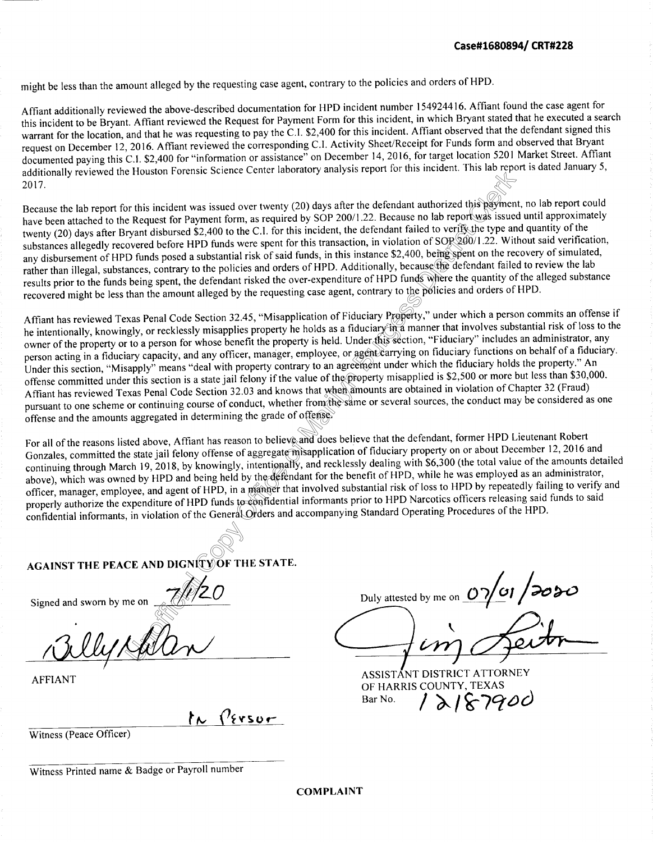might be less than the amount alleged by the requesting case agent, contrary to the policies and orders of HPD.

Affiant additionally reviewed the above-described documentation for HPD incident number 154924416. Affiant found the case agent for this incident to be Bryant. Affiant reviewed the Request for Payment Form for this incident, in which Bryant stated that he executed a search warrant for the location, and that he was requesting to pay the C.I. \$2,400 for this incident. A ffiant observed that the defendant signed this request on December 12, 2016. Affiant reviewed the corresponding C.I. Activity Sheet/Receipt for Funds form and observed that Bryant documented paying this C.I. \$2,400 for "information or assistance" on December 14, 2016, for target location 520 I Market Street. Affiant additionally reviewed the Houston Forensic Science Center laboratory analysis report for this incident. This lab report is dated January 5, 2017.

iled to verify the<br>
un of SOP 200/1<br>
0, being spent cause the defend<br>
ds where the qu<br>
e policies and c  $\overline{\phantom{0}}$ <br>
this payment,<br>
rt was issued Because the lab report for this incident was issued over twenty (20) days after the defendant authorized this payment, no lab report could have been attached to the Request for Payment form, as required by SOP 200/1.22. Because no lab report was issued until approximately twenty (20) days after Bryant disbursed \$2,400 to the C.I. for this incident, the defendant failed to verify the type and quantity of the substances allegedly recovered before HPD funds were spent for this transaction, in violation of SOP 200/1.22. Without said verification, any disbursement of HPD funds posed a substantial risk of said funds, in this instance \$2,400, being spent on the recovery of simulated, rather than illegal, substances, contrary to the policies and orders of HPD. Additionally, because the defendant failed to review the lab results prior to the funds being spent, the defendant risked the over-expenditure of HPD funds where the quantity of the alleged substance recovered might be less than the amount alleged by the requesting case agent, contrary to the policies and orders ofHPD.

value of the prop<br>
r from the same<br>
offense<br>
and does believ collary of the p<br>duciary Property,<br>iduciary in a mann<br>nder this section,<br>agent carrying or Affiant has reviewed Texas Penal Code Section 32.45, "Misapplication of Fiduciary Property," under which a person commits an offense if he intentionally, knowingly, or recklessly misapplies property he holds as a fiduciary in a manner that involves substantial risk of loss to the owner of the property or to a person for whose benefit the property is held. Under this section, "Fiduciary" includes an administrator, any person acting in a fiduciary capacity, and any officer, manager, employee, or agent carrying on fiduciary functions on behalf of a fiduciary. Under this section, "Misapply" means "deal with property contrary to an agreement under which the fiduciary holds the property." An offense committed under this section is a state jail felony if the value of the property misapplied is \$2,500 or more but less than \$30,000. Affiant has reviewed Texas Penal Code Section 32.03 and knows that when amounts are obtained in violation of Chapter 32 (Fraud) pursuant to one scheme or continuing course of conduct, whether from the same or several sources, the conduct may be considered as one offense and the amounts aggregated in determining the grade of offense.

y, intentional<br>d by the defen<br>n a manner that<br>to confidentia For all of the reasons listed above, Affiant has reason to believe and does believe that the defendant, former HPD Lieutenant Robert<br>Gonzales, committed the state jail felony offense of aggregate misapplication of fiduciar For all of the reasons listed above, Affiant has reason to believe and does believe that the defendant, former HPD Lieutenant Robert continuing through March 19, 2018, by knowingly, intentionally, and recklessly dealing with \$6,300 (the total value of the amounts detailed above), which was owned by HPD and being held by the defendant for the benefit of HPD, while he was employed as an administrator, officer, manager, employee, and agent of HPD, in a manner that involved substantial risk of loss to HPD by repeatedly failing to verify and properly authorize the expenditure of HPD funds to confidential informants prior to HPD Narcotics officers releasing said funds to said confidential informants, in violation of the General Orders and accompanying Standard Operating Procedures of the HPD.

**ACAINST THE PEACE AND DIGNITY OF THE STATE.** 

me on  $\frac{7}{102}$ 

 $h \sqrt{9580r}$ 

Witness (Peace Officer)

Witness Printed name & Badge or Payroll number

Signed and sworn by me on  $\frac{7}{\sqrt{20}}$  Duly attested by me on  $\frac{0}{\sqrt{9}}$ 

Duly attested by me on  $\frac{0701}{2020}$ 

ASSISTANT DISTRICT ATTORNEY<br>AFFIANT OF HARRIS COUNTY, TEXAS  $Bar No.$  /  $\lambda$  /  $\kappa$  7900